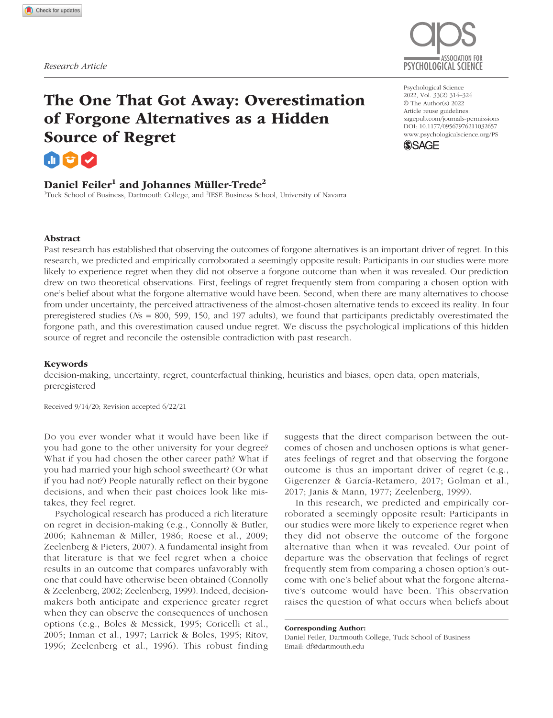

# The One That Got Away: Overestimation of Forgone Alternatives as a Hidden Source of Regret

# Daniel Feiler<sup>1</sup> and Johannes Müller-Trede<sup>2</sup>

<sup>1</sup>Tuck School of Business, Dartmouth College, and <sup>2</sup>IESE Business School, University of Navarra

#### https://doi.org/10.1177/09567976211032657 DOI: 10.1177/09567976211032657 Psychological Science 2022, Vol. 33(2) 314–324 © The Author(s) 2022 Article reuse guidelines: sagepub.com/journals-permissions www.psychologicalscience.org/PS



#### Abstract

Past research has established that observing the outcomes of forgone alternatives is an important driver of regret. In this research, we predicted and empirically corroborated a seemingly opposite result: Participants in our studies were more likely to experience regret when they did not observe a forgone outcome than when it was revealed. Our prediction drew on two theoretical observations. First, feelings of regret frequently stem from comparing a chosen option with one's belief about what the forgone alternative would have been. Second, when there are many alternatives to choose from under uncertainty, the perceived attractiveness of the almost-chosen alternative tends to exceed its reality. In four preregistered studies (*N*s = 800, 599, 150, and 197 adults), we found that participants predictably overestimated the forgone path, and this overestimation caused undue regret. We discuss the psychological implications of this hidden source of regret and reconcile the ostensible contradiction with past research.

#### Keywords

decision-making, uncertainty, regret, counterfactual thinking, heuristics and biases, open data, open materials, preregistered

Received 9/14/20; Revision accepted 6/22/21

Do you ever wonder what it would have been like if you had gone to the other university for your degree? What if you had chosen the other career path? What if you had married your high school sweetheart? (Or what if you had not?) People naturally reflect on their bygone decisions, and when their past choices look like mistakes, they feel regret.

Psychological research has produced a rich literature on regret in decision-making (e.g., Connolly & Butler, 2006; Kahneman & Miller, 1986; Roese et al., 2009; Zeelenberg & Pieters, 2007). A fundamental insight from that literature is that we feel regret when a choice results in an outcome that compares unfavorably with one that could have otherwise been obtained (Connolly & Zeelenberg, 2002; Zeelenberg, 1999). Indeed, decisionmakers both anticipate and experience greater regret when they can observe the consequences of unchosen options (e.g., Boles & Messick, 1995; Coricelli et al., 2005; Inman et al., 1997; Larrick & Boles, 1995; Ritov, 1996; Zeelenberg et al., 1996). This robust finding

suggests that the direct comparison between the outcomes of chosen and unchosen options is what generates feelings of regret and that observing the forgone outcome is thus an important driver of regret (e.g., Gigerenzer & García-Retamero, 2017; Golman et al., 2017; Janis & Mann, 1977; Zeelenberg, 1999).

In this research, we predicted and empirically corroborated a seemingly opposite result: Participants in our studies were more likely to experience regret when they did not observe the outcome of the forgone alternative than when it was revealed. Our point of departure was the observation that feelings of regret frequently stem from comparing a chosen option's outcome with one's belief about what the forgone alternative's outcome would have been. This observation raises the question of what occurs when beliefs about

Corresponding Author: Daniel Feiler, Dartmouth College, Tuck School of Business Email: df@dartmouth.edu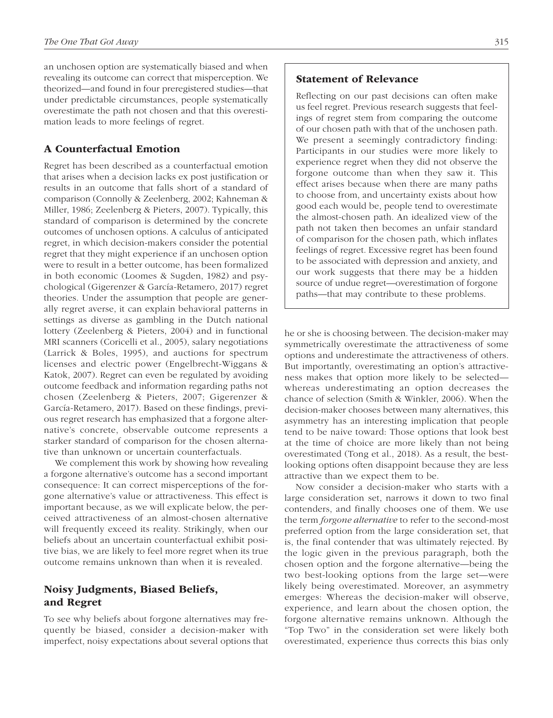an unchosen option are systematically biased and when revealing its outcome can correct that misperception. We theorized—and found in four preregistered studies—that under predictable circumstances, people systematically overestimate the path not chosen and that this overestimation leads to more feelings of regret.

## A Counterfactual Emotion

Regret has been described as a counterfactual emotion that arises when a decision lacks ex post justification or results in an outcome that falls short of a standard of comparison (Connolly & Zeelenberg, 2002; Kahneman & Miller, 1986; Zeelenberg & Pieters, 2007). Typically, this standard of comparison is determined by the concrete outcomes of unchosen options. A calculus of anticipated regret, in which decision-makers consider the potential regret that they might experience if an unchosen option were to result in a better outcome, has been formalized in both economic (Loomes & Sugden, 1982) and psychological (Gigerenzer & García-Retamero, 2017) regret theories. Under the assumption that people are generally regret averse, it can explain behavioral patterns in settings as diverse as gambling in the Dutch national lottery (Zeelenberg & Pieters, 2004) and in functional MRI scanners (Coricelli et al., 2005), salary negotiations (Larrick & Boles, 1995), and auctions for spectrum licenses and electric power (Engelbrecht-Wiggans & Katok, 2007). Regret can even be regulated by avoiding outcome feedback and information regarding paths not chosen (Zeelenberg & Pieters, 2007; Gigerenzer & García-Retamero, 2017). Based on these findings, previous regret research has emphasized that a forgone alternative's concrete, observable outcome represents a starker standard of comparison for the chosen alternative than unknown or uncertain counterfactuals.

We complement this work by showing how revealing a forgone alternative's outcome has a second important consequence: It can correct misperceptions of the forgone alternative's value or attractiveness. This effect is important because, as we will explicate below, the perceived attractiveness of an almost-chosen alternative will frequently exceed its reality. Strikingly, when our beliefs about an uncertain counterfactual exhibit positive bias, we are likely to feel more regret when its true outcome remains unknown than when it is revealed.

# Noisy Judgments, Biased Beliefs, and Regret

To see why beliefs about forgone alternatives may frequently be biased, consider a decision-maker with imperfect, noisy expectations about several options that

## Statement of Relevance

Reflecting on our past decisions can often make us feel regret. Previous research suggests that feelings of regret stem from comparing the outcome of our chosen path with that of the unchosen path. We present a seemingly contradictory finding: Participants in our studies were more likely to experience regret when they did not observe the forgone outcome than when they saw it. This effect arises because when there are many paths to choose from, and uncertainty exists about how good each would be, people tend to overestimate the almost-chosen path. An idealized view of the path not taken then becomes an unfair standard of comparison for the chosen path, which inflates feelings of regret. Excessive regret has been found to be associated with depression and anxiety, and our work suggests that there may be a hidden source of undue regret—overestimation of forgone paths—that may contribute to these problems.

he or she is choosing between. The decision-maker may symmetrically overestimate the attractiveness of some options and underestimate the attractiveness of others. But importantly, overestimating an option's attractiveness makes that option more likely to be selected whereas underestimating an option decreases the chance of selection (Smith & Winkler, 2006). When the decision-maker chooses between many alternatives, this asymmetry has an interesting implication that people tend to be naive toward: Those options that look best at the time of choice are more likely than not being overestimated (Tong et al., 2018). As a result, the bestlooking options often disappoint because they are less attractive than we expect them to be.

Now consider a decision-maker who starts with a large consideration set, narrows it down to two final contenders, and finally chooses one of them. We use the term *forgone alternative* to refer to the second-most preferred option from the large consideration set, that is, the final contender that was ultimately rejected. By the logic given in the previous paragraph, both the chosen option and the forgone alternative—being the two best-looking options from the large set—were likely being overestimated. Moreover, an asymmetry emerges: Whereas the decision-maker will observe, experience, and learn about the chosen option, the forgone alternative remains unknown. Although the "Top Two" in the consideration set were likely both overestimated, experience thus corrects this bias only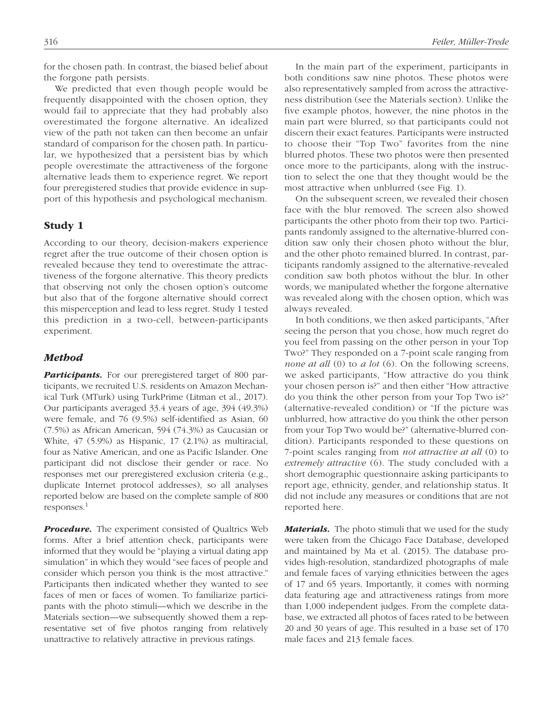for the chosen path. In contrast, the biased belief about the forgone path persists.

We predicted that even though people would be frequently disappointed with the chosen option, they would fail to appreciate that they had probably also overestimated the forgone alternative. An idealized view of the path not taken can then become an unfair standard of comparison for the chosen path. In particular, we hypothesized that a persistent bias by which people overestimate the attractiveness of the forgone alternative leads them to experience regret. We report four preregistered studies that provide evidence in support of this hypothesis and psychological mechanism.

### Study 1

According to our theory, decision-makers experience regret after the true outcome of their chosen option is revealed because they tend to overestimate the attractiveness of the forgone alternative. This theory predicts that observing not only the chosen option's outcome but also that of the forgone alternative should correct this misperception and lead to less regret. Study 1 tested this prediction in a two-cell, between-participants experiment.

#### *Method*

**Participants.** For our preregistered target of 800 participants, we recruited U.S. residents on Amazon Mechanical Turk (MTurk) using TurkPrime (Litman et al., 2017). Our participants averaged 33.4 years of age, 394 (49.3%) were female, and 76 (9.5%) self-identified as Asian, 60 (7.5%) as African American, 594 (74.3%) as Caucasian or White, 47 (5.9%) as Hispanic, 17 (2.1%) as multiracial, four as Native American, and one as Pacific Islander. One participant did not disclose their gender or race. No responses met our preregistered exclusion criteria (e.g., duplicate Internet protocol addresses), so all analyses reported below are based on the complete sample of 800  $responents.<sup>1</sup>$ 

**Procedure.** The experiment consisted of Qualtrics Web forms. After a brief attention check, participants were informed that they would be "playing a virtual dating app simulation" in which they would "see faces of people and consider which person you think is the most attractive." Participants then indicated whether they wanted to see faces of men or faces of women. To familiarize participants with the photo stimuli—which we describe in the Materials section—we subsequently showed them a representative set of five photos ranging from relatively unattractive to relatively attractive in previous ratings.

In the main part of the experiment, participants in both conditions saw nine photos. These photos were also representatively sampled from across the attractiveness distribution (see the Materials section). Unlike the five example photos, however, the nine photos in the main part were blurred, so that participants could not discern their exact features. Participants were instructed to choose their "Top Two" favorites from the nine blurred photos. These two photos were then presented once more to the participants, along with the instruction to select the one that they thought would be the most attractive when unblurred (see Fig. 1).

On the subsequent screen, we revealed their chosen face with the blur removed. The screen also showed participants the other photo from their top two. Participants randomly assigned to the alternative-blurred condition saw only their chosen photo without the blur, and the other photo remained blurred. In contrast, participants randomly assigned to the alternative-revealed condition saw both photos without the blur. In other words, we manipulated whether the forgone alternative was revealed along with the chosen option, which was always revealed.

In both conditions, we then asked participants, "After seeing the person that you chose, how much regret do you feel from passing on the other person in your Top Two?" They responded on a 7-point scale ranging from *none at all* (0) to *a lot* (6). On the following screens, we asked participants, "How attractive do you think your chosen person is?" and then either "How attractive do you think the other person from your Top Two is?" (alternative-revealed condition) or "If the picture was unblurred, how attractive do you think the other person from your Top Two would be?" (alternative-blurred condition). Participants responded to these questions on 7-point scales ranging from *not attractive at all* (0) to *extremely attractive* (6). The study concluded with a short demographic questionnaire asking participants to report age, ethnicity, gender, and relationship status. It did not include any measures or conditions that are not reported here.

*Materials.* The photo stimuli that we used for the study were taken from the Chicago Face Database, developed and maintained by Ma et al. (2015). The database provides high-resolution, standardized photographs of male and female faces of varying ethnicities between the ages of 17 and 65 years. Importantly, it comes with norming data featuring age and attractiveness ratings from more than 1,000 independent judges. From the complete database, we extracted all photos of faces rated to be between 20 and 30 years of age. This resulted in a base set of 170 male faces and 213 female faces.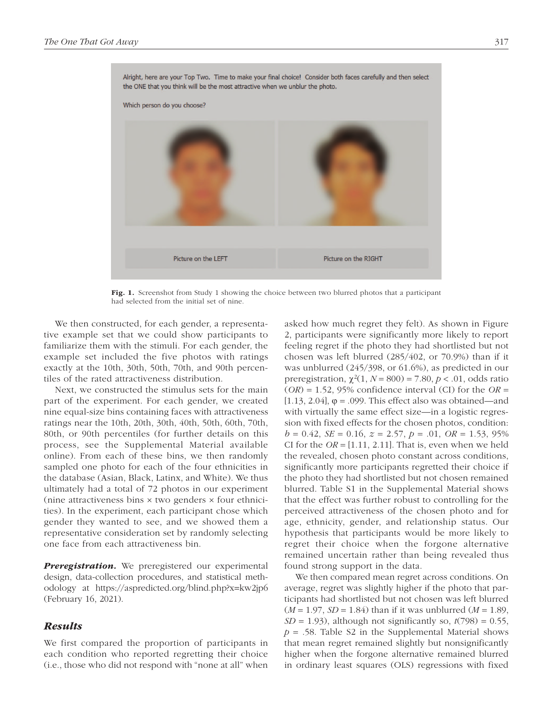

Fig. 1. Screenshot from Study 1 showing the choice between two blurred photos that a participant had selected from the initial set of nine.

We then constructed, for each gender, a representative example set that we could show participants to familiarize them with the stimuli. For each gender, the example set included the five photos with ratings exactly at the 10th, 30th, 50th, 70th, and 90th percentiles of the rated attractiveness distribution.

Next, we constructed the stimulus sets for the main part of the experiment. For each gender, we created nine equal-size bins containing faces with attractiveness ratings near the 10th, 20th, 30th, 40th, 50th, 60th, 70th, 80th, or 90th percentiles (for further details on this process, see the Supplemental Material available online). From each of these bins, we then randomly sampled one photo for each of the four ethnicities in the database (Asian, Black, Latinx, and White). We thus ultimately had a total of 72 photos in our experiment (nine attractiveness bins  $\times$  two genders  $\times$  four ethnicities). In the experiment, each participant chose which gender they wanted to see, and we showed them a representative consideration set by randomly selecting one face from each attractiveness bin.

**Preregistration.** We preregistered our experimental design, data-collection procedures, and statistical methodology at https://aspredicted.org/blind.php?x=kw2jp6 (February 16, 2021).

## *Results*

We first compared the proportion of participants in each condition who reported regretting their choice (i.e., those who did not respond with "none at all" when asked how much regret they felt). As shown in Figure 2, participants were significantly more likely to report feeling regret if the photo they had shortlisted but not chosen was left blurred (285/402, or 70.9%) than if it was unblurred (245/398, or 61.6%), as predicted in our preregistration,  $\chi^2(1, N = 800) = 7.80, p < .01$ , odds ratio  $(OR) = 1.52$ , 95% confidence interval (CI) for the  $OR =$ [1.13, 2.04],  $\varphi$  = .099. This effect also was obtained—and with virtually the same effect size—in a logistic regression with fixed effects for the chosen photos, condition:  $b = 0.42$ , *SE* = 0.16,  $z = 2.57$ ,  $p = .01$ , *OR* = 1.53, 95% CI for the  $OR = [1.11, 2.11]$ . That is, even when we held the revealed, chosen photo constant across conditions, significantly more participants regretted their choice if the photo they had shortlisted but not chosen remained blurred. Table S1 in the Supplemental Material shows that the effect was further robust to controlling for the perceived attractiveness of the chosen photo and for age, ethnicity, gender, and relationship status. Our hypothesis that participants would be more likely to regret their choice when the forgone alternative remained uncertain rather than being revealed thus found strong support in the data.

We then compared mean regret across conditions. On average, regret was slightly higher if the photo that participants had shortlisted but not chosen was left blurred  $(M = 1.97, SD = 1.84)$  than if it was unblurred  $(M = 1.89,$  $SD = 1.93$ ), although not significantly so,  $t(798) = 0.55$ ,  $p = .58$ . Table S2 in the Supplemental Material shows that mean regret remained slightly but nonsignificantly higher when the forgone alternative remained blurred in ordinary least squares (OLS) regressions with fixed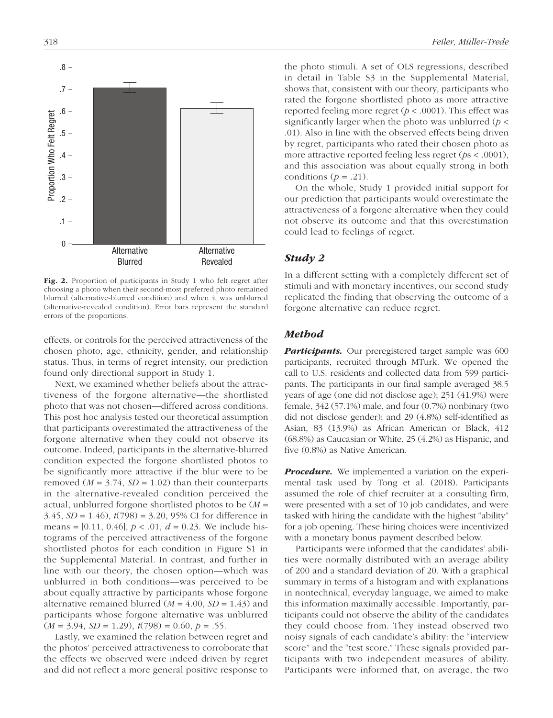.8 .7 .6 Proportion Who Felt Regret Proportion Who Felt Regret .5 .4 .3 .2 .1 0 Alternative Alternative Blurred Revealed

Fig. 2. Proportion of participants in Study 1 who felt regret after choosing a photo when their second-most preferred photo remained blurred (alternative-blurred condition) and when it was unblurred (alternative-revealed condition). Error bars represent the standard errors of the proportions.

effects, or controls for the perceived attractiveness of the chosen photo, age, ethnicity, gender, and relationship status. Thus, in terms of regret intensity, our prediction found only directional support in Study 1.

Next, we examined whether beliefs about the attractiveness of the forgone alternative—the shortlisted photo that was not chosen—differed across conditions. This post hoc analysis tested our theoretical assumption that participants overestimated the attractiveness of the forgone alternative when they could not observe its outcome. Indeed, participants in the alternative-blurred condition expected the forgone shortlisted photos to be significantly more attractive if the blur were to be removed  $(M = 3.74, SD = 1.02)$  than their counterparts in the alternative-revealed condition perceived the actual, unblurred forgone shortlisted photos to be (*M* = 3.45, *SD* = 1.46), *t*(798) = 3.20, 95% CI for difference in means = [0.11, 0.46], *p* < .01, *d* = 0.23. We include histograms of the perceived attractiveness of the forgone shortlisted photos for each condition in Figure S1 in the Supplemental Material. In contrast, and further in line with our theory, the chosen option—which was unblurred in both conditions—was perceived to be about equally attractive by participants whose forgone alternative remained blurred  $(M = 4.00, SD = 1.43)$  and participants whose forgone alternative was unblurred  $(M = 3.94, SD = 1.29), t(798) = 0.60, p = .55.$ 

Lastly, we examined the relation between regret and the photos' perceived attractiveness to corroborate that the effects we observed were indeed driven by regret and did not reflect a more general positive response to the photo stimuli. A set of OLS regressions, described in detail in Table S3 in the Supplemental Material, shows that, consistent with our theory, participants who rated the forgone shortlisted photo as more attractive reported feeling more regret ( $p < .0001$ ). This effect was significantly larger when the photo was unblurred (*p* < .01). Also in line with the observed effects being driven by regret, participants who rated their chosen photo as more attractive reported feeling less regret (*p*s < .0001), and this association was about equally strong in both conditions ( $p = .21$ ).

On the whole, Study 1 provided initial support for our prediction that participants would overestimate the attractiveness of a forgone alternative when they could not observe its outcome and that this overestimation could lead to feelings of regret.

#### *Study 2*

In a different setting with a completely different set of stimuli and with monetary incentives, our second study replicated the finding that observing the outcome of a forgone alternative can reduce regret.

#### *Method*

*Participants.* Our preregistered target sample was 600 participants, recruited through MTurk. We opened the call to U.S. residents and collected data from 599 participants. The participants in our final sample averaged 38.5 years of age (one did not disclose age); 251 (41.9%) were female,  $342(57.1\%)$  male, and four  $(0.7\%)$  nonbinary (two did not disclose gender); and 29 (4.8%) self-identified as Asian, 83 (13.9%) as African American or Black, 412 (68.8%) as Caucasian or White, 25 (4.2%) as Hispanic, and five (0.8%) as Native American.

*Procedure.* We implemented a variation on the experimental task used by Tong et al. (2018). Participants assumed the role of chief recruiter at a consulting firm, were presented with a set of 10 job candidates, and were tasked with hiring the candidate with the highest "ability" for a job opening. These hiring choices were incentivized with a monetary bonus payment described below.

Participants were informed that the candidates' abilities were normally distributed with an average ability of 200 and a standard deviation of 20. With a graphical summary in terms of a histogram and with explanations in nontechnical, everyday language, we aimed to make this information maximally accessible. Importantly, participants could not observe the ability of the candidates they could choose from. They instead observed two noisy signals of each candidate's ability: the "interview score" and the "test score." These signals provided participants with two independent measures of ability. Participants were informed that, on average, the two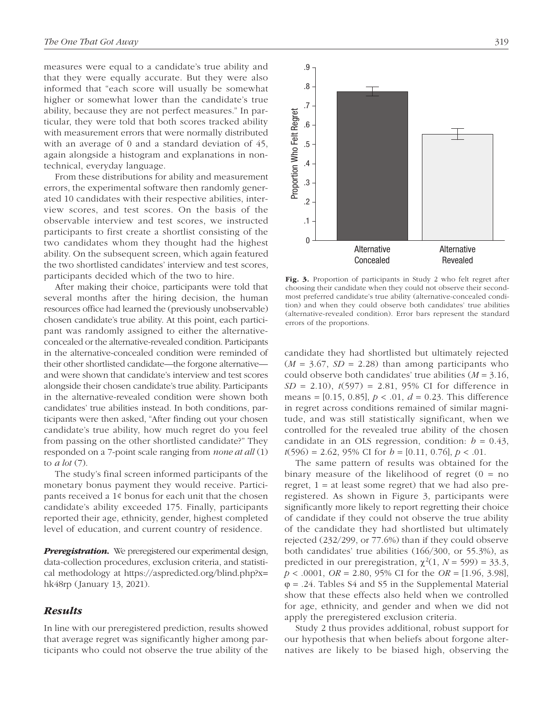measures were equal to a candidate's true ability and that they were equally accurate. But they were also informed that "each score will usually be somewhat higher or somewhat lower than the candidate's true ability, because they are not perfect measures." In particular, they were told that both scores tracked ability with measurement errors that were normally distributed with an average of 0 and a standard deviation of 45, again alongside a histogram and explanations in nontechnical, everyday language.

From these distributions for ability and measurement errors, the experimental software then randomly generated 10 candidates with their respective abilities, interview scores, and test scores. On the basis of the observable interview and test scores, we instructed participants to first create a shortlist consisting of the two candidates whom they thought had the highest ability. On the subsequent screen, which again featured the two shortlisted candidates' interview and test scores, participants decided which of the two to hire.

After making their choice, participants were told that several months after the hiring decision, the human resources office had learned the (previously unobservable) chosen candidate's true ability. At this point, each participant was randomly assigned to either the alternativeconcealed or the alternative-revealed condition. Participants in the alternative-concealed condition were reminded of their other shortlisted candidate—the forgone alternative and were shown that candidate's interview and test scores alongside their chosen candidate's true ability. Participants in the alternative-revealed condition were shown both candidates' true abilities instead. In both conditions, participants were then asked, "After finding out your chosen candidate's true ability, how much regret do you feel from passing on the other shortlisted candidate?" They responded on a 7-point scale ranging from *none at all* (1) to *a lot* (7).

The study's final screen informed participants of the monetary bonus payment they would receive. Participants received a 1¢ bonus for each unit that the chosen candidate's ability exceeded 175. Finally, participants reported their age, ethnicity, gender, highest completed level of education, and current country of residence.

**Preregistration.** We preregistered our experimental design, data-collection procedures, exclusion criteria, and statistical methodology at https://aspredicted.org/blind.php?x= hk48rp (January 13, 2021).

## *Results*

In line with our preregistered prediction, results showed that average regret was significantly higher among participants who could not observe the true ability of the

Fig. 3. Proportion of participants in Study 2 who felt regret after choosing their candidate when they could not observe their secondmost preferred candidate's true ability (alternative-concealed condition) and when they could observe both candidates' true abilities (alternative-revealed condition). Error bars represent the standard errors of the proportions.

candidate they had shortlisted but ultimately rejected  $(M = 3.67, SD = 2.28)$  than among participants who could observe both candidates' true abilities (*M* = 3.16, *SD* = 2.10), *t*(597) = 2.81, 95% CI for difference in means = [0.15, 0.85], *p* < .01, *d* = 0.23. This difference in regret across conditions remained of similar magnitude, and was still statistically significant, when we controlled for the revealed true ability of the chosen candidate in an OLS regression, condition:  $b = 0.43$ , *t*(596) = 2.62, 95% CI for *b* = [0.11, 0.76], *p* < .01.

The same pattern of results was obtained for the binary measure of the likelihood of regret  $(0 = no$ regret,  $1 = at$  least some regret) that we had also preregistered. As shown in Figure 3, participants were significantly more likely to report regretting their choice of candidate if they could not observe the true ability of the candidate they had shortlisted but ultimately rejected (232/299, or 77.6%) than if they could observe both candidates' true abilities (166/300, or 55.3%), as predicted in our preregistration,  $\chi^2(1, N = 599) = 33.3$ , *p* < .0001, *OR* = 2.80, 95% CI for the *OR* = [1.96, 3.98],  $\varphi = 0.24$ . Tables S4 and S5 in the Supplemental Material show that these effects also held when we controlled for age, ethnicity, and gender and when we did not apply the preregistered exclusion criteria.

Study 2 thus provides additional, robust support for our hypothesis that when beliefs about forgone alternatives are likely to be biased high, observing the

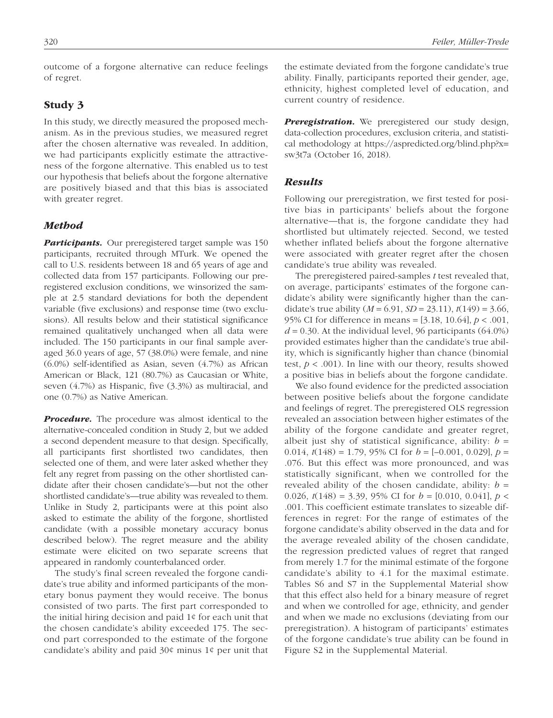outcome of a forgone alternative can reduce feelings of regret.

#### Study 3

In this study, we directly measured the proposed mechanism. As in the previous studies, we measured regret after the chosen alternative was revealed. In addition, we had participants explicitly estimate the attractiveness of the forgone alternative. This enabled us to test our hypothesis that beliefs about the forgone alternative are positively biased and that this bias is associated with greater regret.

#### *Method*

**Participants.** Our preregistered target sample was 150 participants, recruited through MTurk. We opened the call to U.S. residents between 18 and 65 years of age and collected data from 157 participants. Following our preregistered exclusion conditions, we winsorized the sample at 2.5 standard deviations for both the dependent variable (five exclusions) and response time (two exclusions). All results below and their statistical significance remained qualitatively unchanged when all data were included. The 150 participants in our final sample averaged 36.0 years of age, 57 (38.0%) were female, and nine (6.0%) self-identified as Asian, seven (4.7%) as African American or Black, 121 (80.7%) as Caucasian or White, seven (4.7%) as Hispanic, five (3.3%) as multiracial, and one (0.7%) as Native American.

*Procedure.* The procedure was almost identical to the alternative-concealed condition in Study 2, but we added a second dependent measure to that design. Specifically, all participants first shortlisted two candidates, then selected one of them, and were later asked whether they felt any regret from passing on the other shortlisted candidate after their chosen candidate's—but not the other shortlisted candidate's—true ability was revealed to them. Unlike in Study 2, participants were at this point also asked to estimate the ability of the forgone, shortlisted candidate (with a possible monetary accuracy bonus described below). The regret measure and the ability estimate were elicited on two separate screens that appeared in randomly counterbalanced order.

The study's final screen revealed the forgone candidate's true ability and informed participants of the monetary bonus payment they would receive. The bonus consisted of two parts. The first part corresponded to the initial hiring decision and paid 1¢ for each unit that the chosen candidate's ability exceeded 175. The second part corresponded to the estimate of the forgone candidate's ability and paid 30¢ minus 1¢ per unit that the estimate deviated from the forgone candidate's true ability. Finally, participants reported their gender, age, ethnicity, highest completed level of education, and current country of residence.

*Preregistration.* We preregistered our study design, data-collection procedures, exclusion criteria, and statistical methodology at https://aspredicted.org/blind.php?x= sw3t7a (October 16, 2018).

#### *Results*

Following our preregistration, we first tested for positive bias in participants' beliefs about the forgone alternative—that is, the forgone candidate they had shortlisted but ultimately rejected. Second, we tested whether inflated beliefs about the forgone alternative were associated with greater regret after the chosen candidate's true ability was revealed.

The preregistered paired-samples *t* test revealed that, on average, participants' estimates of the forgone candidate's ability were significantly higher than the candidate's true ability  $(M = 6.91, SD = 23.11), t(149) = 3.66,$ 95% CI for difference in means = [3.18, 10.64], *p* < .001,  $d = 0.30$ . At the individual level, 96 participants (64.0%) provided estimates higher than the candidate's true ability, which is significantly higher than chance (binomial test,  $p < .001$ ). In line with our theory, results showed a positive bias in beliefs about the forgone candidate.

We also found evidence for the predicted association between positive beliefs about the forgone candidate and feelings of regret. The preregistered OLS regression revealed an association between higher estimates of the ability of the forgone candidate and greater regret, albeit just shy of statistical significance, ability:  $b =$ 0.014,  $t(148) = 1.79$ , 95% CI for  $b = [-0.001, 0.029]$ ,  $p =$ .076. But this effect was more pronounced, and was statistically significant, when we controlled for the revealed ability of the chosen candidate, ability:  $b =$ 0.026, *t*(148) = 3.39, 95% CI for *b* = [0.010, 0.041], *p* < .001. This coefficient estimate translates to sizeable differences in regret: For the range of estimates of the forgone candidate's ability observed in the data and for the average revealed ability of the chosen candidate, the regression predicted values of regret that ranged from merely 1.7 for the minimal estimate of the forgone candidate's ability to 4.1 for the maximal estimate. Tables S6 and S7 in the Supplemental Material show that this effect also held for a binary measure of regret and when we controlled for age, ethnicity, and gender and when we made no exclusions (deviating from our preregistration). A histogram of participants' estimates of the forgone candidate's true ability can be found in Figure S2 in the Supplemental Material.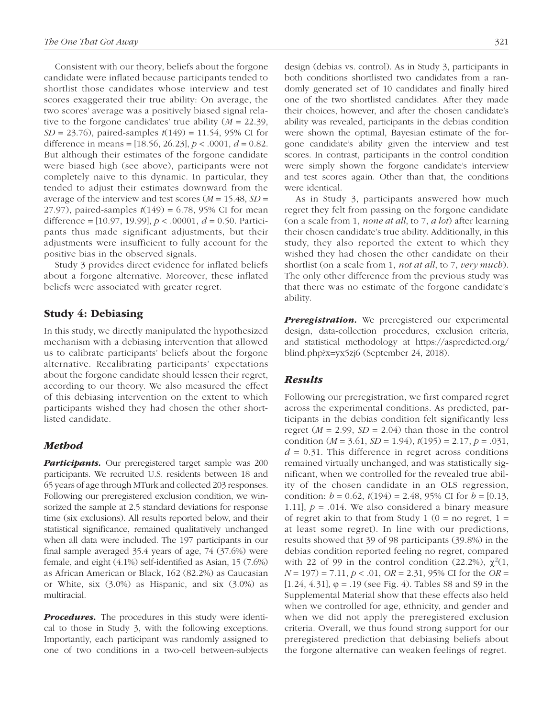Consistent with our theory, beliefs about the forgone candidate were inflated because participants tended to shortlist those candidates whose interview and test scores exaggerated their true ability: On average, the two scores' average was a positively biased signal relative to the forgone candidates' true ability (*M* = 22.39, *SD* = 23.76), paired-samples *t*(149) = 11.54, 95% CI for difference in means =  $[18.56, 26.23]$ ,  $p < .0001$ ,  $d = 0.82$ . But although their estimates of the forgone candidate were biased high (see above), participants were not completely naive to this dynamic. In particular, they tended to adjust their estimates downward from the average of the interview and test scores  $(M = 15.48, SD =$ 27.97), paired-samples *t*(149) = 6.78, 95% CI for mean difference = [10.97, 19.99], *p* < .00001, *d* = 0.50. Participants thus made significant adjustments, but their adjustments were insufficient to fully account for the positive bias in the observed signals.

Study 3 provides direct evidence for inflated beliefs about a forgone alternative. Moreover, these inflated beliefs were associated with greater regret.

## Study 4: Debiasing

In this study, we directly manipulated the hypothesized mechanism with a debiasing intervention that allowed us to calibrate participants' beliefs about the forgone alternative. Recalibrating participants' expectations about the forgone candidate should lessen their regret, according to our theory. We also measured the effect of this debiasing intervention on the extent to which participants wished they had chosen the other shortlisted candidate.

## *Method*

*Participants.* Our preregistered target sample was 200 participants. We recruited U.S. residents between 18 and 65 years of age through MTurk and collected 203 responses. Following our preregistered exclusion condition, we winsorized the sample at 2.5 standard deviations for response time (six exclusions). All results reported below, and their statistical significance, remained qualitatively unchanged when all data were included. The 197 participants in our final sample averaged 35.4 years of age, 74 (37.6%) were female, and eight (4.1%) self-identified as Asian, 15 (7.6%) as African American or Black, 162 (82.2%) as Caucasian or White, six (3.0%) as Hispanic, and six (3.0%) as multiracial.

*Procedures.* The procedures in this study were identical to those in Study 3, with the following exceptions. Importantly, each participant was randomly assigned to one of two conditions in a two-cell between-subjects design (debias vs. control). As in Study 3, participants in both conditions shortlisted two candidates from a randomly generated set of 10 candidates and finally hired one of the two shortlisted candidates. After they made their choices, however, and after the chosen candidate's ability was revealed, participants in the debias condition were shown the optimal, Bayesian estimate of the forgone candidate's ability given the interview and test scores. In contrast, participants in the control condition were simply shown the forgone candidate's interview and test scores again. Other than that, the conditions were identical.

As in Study 3, participants answered how much regret they felt from passing on the forgone candidate (on a scale from 1, *none at all*, to 7, *a lot*) after learning their chosen candidate's true ability. Additionally, in this study, they also reported the extent to which they wished they had chosen the other candidate on their shortlist (on a scale from 1, *not at all*, to 7, *very much*). The only other difference from the previous study was that there was no estimate of the forgone candidate's ability.

**Preregistration.** We preregistered our experimental design, data-collection procedures, exclusion criteria, and statistical methodology at https://aspredicted.org/ blind.php?x=yx5zj6 (September 24, 2018).

#### *Results*

Following our preregistration, we first compared regret across the experimental conditions. As predicted, participants in the debias condition felt significantly less regret  $(M = 2.99, SD = 2.04)$  than those in the control condition (*M* = 3.61, *SD* = 1.94), *t*(195) = 2.17, *p* = .031,  $d = 0.31$ . This difference in regret across conditions remained virtually unchanged, and was statistically significant, when we controlled for the revealed true ability of the chosen candidate in an OLS regression, condition:  $b = 0.62$ ,  $t(194) = 2.48$ , 95% CI for  $b = [0.13]$ , 1.11],  $p = .014$ . We also considered a binary measure of regret akin to that from Study 1 ( $0 =$  no regret, 1 = at least some regret). In line with our predictions, results showed that 39 of 98 participants (39.8%) in the debias condition reported feeling no regret, compared with 22 of 99 in the control condition (22.2%),  $\chi^2(1)$ , *N* = 197) = 7.11, *p* < .01, *OR* = 2.31, 95% CI for the *OR* = [1.24, 4.31], ϕ = .19 (see Fig. 4). Tables S8 and S9 in the Supplemental Material show that these effects also held when we controlled for age, ethnicity, and gender and when we did not apply the preregistered exclusion criteria. Overall, we thus found strong support for our preregistered prediction that debiasing beliefs about the forgone alternative can weaken feelings of regret.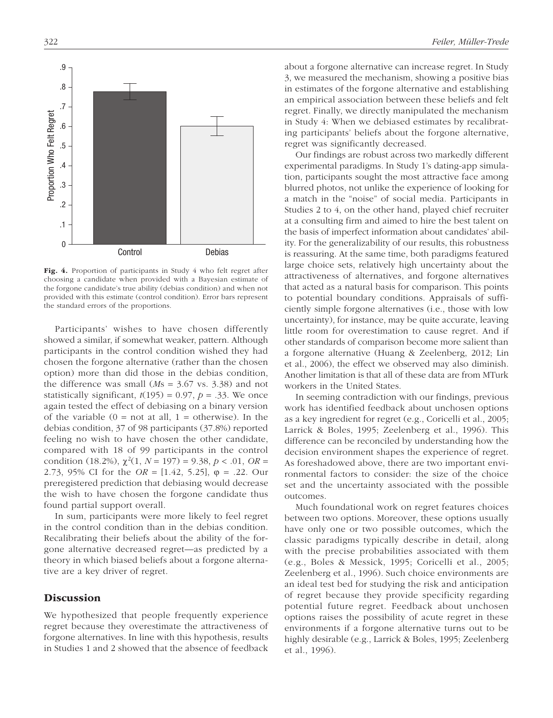

Fig. 4. Proportion of participants in Study 4 who felt regret after choosing a candidate when provided with a Bayesian estimate of the forgone candidate's true ability (debias condition) and when not provided with this estimate (control condition). Error bars represent the standard errors of the proportions.

Participants' wishes to have chosen differently showed a similar, if somewhat weaker, pattern. Although participants in the control condition wished they had chosen the forgone alternative (rather than the chosen option) more than did those in the debias condition, the difference was small (*M*s = 3.67 vs. 3.38) and not statistically significant,  $t(195) = 0.97$ ,  $p = .33$ . We once again tested the effect of debiasing on a binary version of the variable  $(0 = not at all, 1 = otherwise)$ . In the debias condition, 37 of 98 participants (37.8%) reported feeling no wish to have chosen the other candidate, compared with 18 of 99 participants in the control condition (18.2%),  $\chi^2(1, N = 197) = 9.38, p < .01, OR =$ 2.73, 95% CI for the *OR* = [1.42, 5.25], ϕ = .22. Our preregistered prediction that debiasing would decrease the wish to have chosen the forgone candidate thus found partial support overall.

In sum, participants were more likely to feel regret in the control condition than in the debias condition. Recalibrating their beliefs about the ability of the forgone alternative decreased regret—as predicted by a theory in which biased beliefs about a forgone alternative are a key driver of regret.

# **Discussion**

We hypothesized that people frequently experience regret because they overestimate the attractiveness of forgone alternatives. In line with this hypothesis, results in Studies 1 and 2 showed that the absence of feedback about a forgone alternative can increase regret. In Study 3, we measured the mechanism, showing a positive bias in estimates of the forgone alternative and establishing an empirical association between these beliefs and felt regret. Finally, we directly manipulated the mechanism in Study 4: When we debiased estimates by recalibrating participants' beliefs about the forgone alternative, regret was significantly decreased.

Our findings are robust across two markedly different experimental paradigms. In Study 1's dating-app simulation, participants sought the most attractive face among blurred photos, not unlike the experience of looking for a match in the "noise" of social media. Participants in Studies 2 to 4, on the other hand, played chief recruiter at a consulting firm and aimed to hire the best talent on the basis of imperfect information about candidates' ability. For the generalizability of our results, this robustness is reassuring. At the same time, both paradigms featured large choice sets, relatively high uncertainty about the attractiveness of alternatives, and forgone alternatives that acted as a natural basis for comparison. This points to potential boundary conditions. Appraisals of sufficiently simple forgone alternatives (i.e., those with low uncertainty), for instance, may be quite accurate, leaving little room for overestimation to cause regret. And if other standards of comparison become more salient than a forgone alternative (Huang & Zeelenberg, 2012; Lin et al., 2006), the effect we observed may also diminish. Another limitation is that all of these data are from MTurk workers in the United States.

In seeming contradiction with our findings, previous work has identified feedback about unchosen options as a key ingredient for regret (e.g., Coricelli et al., 2005; Larrick & Boles, 1995; Zeelenberg et al., 1996). This difference can be reconciled by understanding how the decision environment shapes the experience of regret. As foreshadowed above, there are two important environmental factors to consider: the size of the choice set and the uncertainty associated with the possible outcomes.

Much foundational work on regret features choices between two options. Moreover, these options usually have only one or two possible outcomes, which the classic paradigms typically describe in detail, along with the precise probabilities associated with them (e.g., Boles & Messick, 1995; Coricelli et al., 2005; Zeelenberg et al., 1996). Such choice environments are an ideal test bed for studying the risk and anticipation of regret because they provide specificity regarding potential future regret. Feedback about unchosen options raises the possibility of acute regret in these environments if a forgone alternative turns out to be highly desirable (e.g., Larrick & Boles, 1995; Zeelenberg et al., 1996).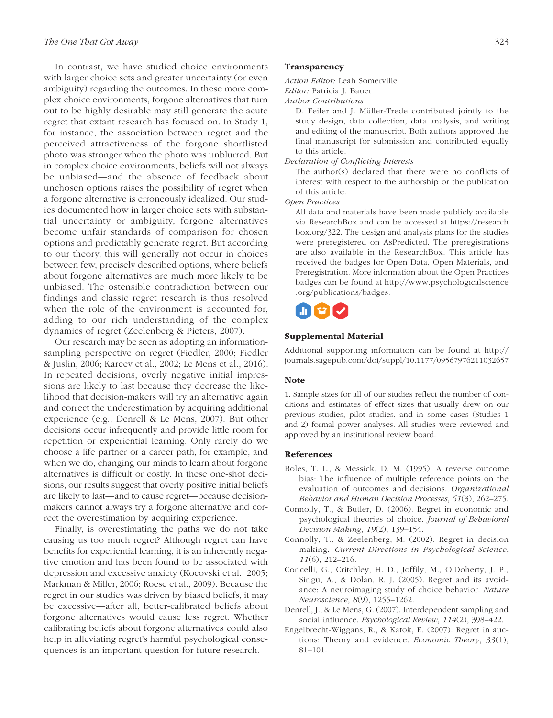In contrast, we have studied choice environments with larger choice sets and greater uncertainty (or even ambiguity) regarding the outcomes. In these more complex choice environments, forgone alternatives that turn out to be highly desirable may still generate the acute regret that extant research has focused on. In Study 1, for instance, the association between regret and the perceived attractiveness of the forgone shortlisted photo was stronger when the photo was unblurred. But in complex choice environments, beliefs will not always be unbiased—and the absence of feedback about unchosen options raises the possibility of regret when a forgone alternative is erroneously idealized. Our studies documented how in larger choice sets with substantial uncertainty or ambiguity, forgone alternatives become unfair standards of comparison for chosen options and predictably generate regret. But according to our theory, this will generally not occur in choices between few, precisely described options, where beliefs about forgone alternatives are much more likely to be unbiased. The ostensible contradiction between our findings and classic regret research is thus resolved when the role of the environment is accounted for, adding to our rich understanding of the complex dynamics of regret (Zeelenberg & Pieters, 2007).

Our research may be seen as adopting an informationsampling perspective on regret (Fiedler, 2000; Fiedler & Juslin, 2006; Kareev et al., 2002; Le Mens et al., 2016). In repeated decisions, overly negative initial impressions are likely to last because they decrease the likelihood that decision-makers will try an alternative again and correct the underestimation by acquiring additional experience (e.g., Denrell & Le Mens, 2007). But other decisions occur infrequently and provide little room for repetition or experiential learning. Only rarely do we choose a life partner or a career path, for example, and when we do, changing our minds to learn about forgone alternatives is difficult or costly. In these one-shot decisions, our results suggest that overly positive initial beliefs are likely to last—and to cause regret—because decisionmakers cannot always try a forgone alternative and correct the overestimation by acquiring experience.

Finally, is overestimating the paths we do not take causing us too much regret? Although regret can have benefits for experiential learning, it is an inherently negative emotion and has been found to be associated with depression and excessive anxiety (Kocovski et al., 2005; Markman & Miller, 2006; Roese et al., 2009). Because the regret in our studies was driven by biased beliefs, it may be excessive—after all, better-calibrated beliefs about forgone alternatives would cause less regret. Whether calibrating beliefs about forgone alternatives could also help in alleviating regret's harmful psychological consequences is an important question for future research.

#### **Transparency**

*Action Editor:* Leah Somerville

*Editor:* Patricia J. Bauer

*Author Contributions*

D. Feiler and J. Müller-Trede contributed jointly to the study design, data collection, data analysis, and writing and editing of the manuscript. Both authors approved the final manuscript for submission and contributed equally to this article.

*Declaration of Conflicting Interests*

The author(s) declared that there were no conflicts of interest with respect to the authorship or the publication of this article.

*Open Practices*

All data and materials have been made publicly available via ResearchBox and can be accessed at https://research box.org/322. The design and analysis plans for the studies were preregistered on AsPredicted. The preregistrations are also available in the ResearchBox. This article has received the badges for Open Data, Open Materials, and Preregistration. More information about the Open Practices badges can be found at http://www.psychologicalscience .org/publications/badges.



#### Supplemental Material

Additional supporting information can be found at http:// journals.sagepub.com/doi/suppl/10.1177/09567976211032657

#### **Note**

1. Sample sizes for all of our studies reflect the number of conditions and estimates of effect sizes that usually drew on our previous studies, pilot studies, and in some cases (Studies 1 and 2) formal power analyses. All studies were reviewed and approved by an institutional review board.

#### References

- Boles, T. L., & Messick, D. M. (1995). A reverse outcome bias: The influence of multiple reference points on the evaluation of outcomes and decisions. *Organizational Behavior and Human Decision Processes*, *61*(3), 262–275.
- Connolly, T., & Butler, D. (2006). Regret in economic and psychological theories of choice. *Journal of Behavioral Decision Making*, *19*(2), 139–154.
- Connolly, T., & Zeelenberg, M. (2002). Regret in decision making. *Current Directions in Psychological Science*, *11*(6), 212–216.
- Coricelli, G., Critchley, H. D., Joffily, M., O'Doherty, J. P., Sirigu, A., & Dolan, R. J. (2005). Regret and its avoidance: A neuroimaging study of choice behavior. *Nature Neuroscience*, *8*(9), 1255–1262.
- Denrell, J., & Le Mens, G. (2007). Interdependent sampling and social influence. *Psychological Review*, *114*(2), 398–422.
- Engelbrecht-Wiggans, R., & Katok, E. (2007). Regret in auctions: Theory and evidence. *Economic Theory*, *33*(1), 81–101.